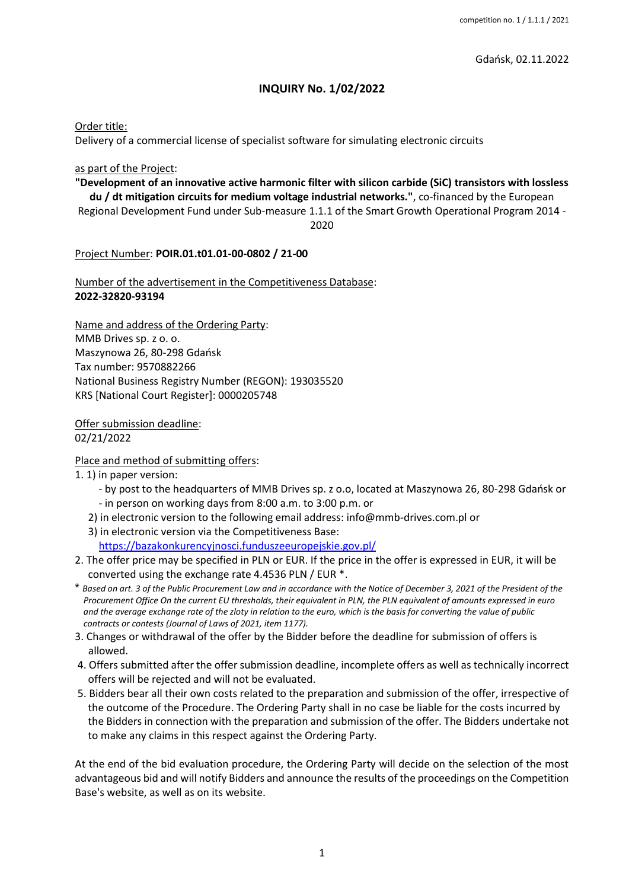Gdańsk, 02.11.2022

## **INQUIRY No. 1/02/2022**

Order title:

Delivery of a commercial license of specialist software for simulating electronic circuits

#### as part of the Project:

**"Development of an innovative active harmonic filter with silicon carbide (SiC) transistors with lossless du / dt mitigation circuits for medium voltage industrial networks."**, co-financed by the European Regional Development Fund under Sub-measure 1.1.1 of the Smart Growth Operational Program 2014 -

2020

Project Number: **POIR.01.t01.01-00-0802 / 21-00**

Number of the advertisement in the Competitiveness Database: **2022-32820-93194**

Name and address of the Ordering Party: MMB Drives sp. z o. o. Maszynowa 26, 80-298 Gdańsk Tax number: 9570882266 National Business Registry Number (REGON): 193035520 KRS [National Court Register]: 0000205748

Offer submission deadline: 02/21/2022

Place and method of submitting offers:

1. 1) in paper version:

- by post to the headquarters of MMB Drives sp. z o.o, located at Maszynowa 26, 80-298 Gdańsk or - in person on working days from 8:00 a.m. to 3:00 p.m. or
- 2) in electronic version to the following email address: info@mmb-drives.com.pl or
- 3) in electronic version via the Competitiveness Base:

<https://bazakonkurencyjnosci.funduszeeuropejskie.gov.pl/>

- 2. The offer price may be specified in PLN or EUR. If the price in the offer is expressed in EUR, it will be converted using the exchange rate 4.4536 PLN / EUR \*.
- \* *Based on art. 3 of the Public Procurement Law and in accordance with the Notice of December 3, 2021 of the President of the Procurement Office On the current EU thresholds, their equivalent in PLN, the PLN equivalent of amounts expressed in euro and the average exchange rate of the zloty in relation to the euro, which is the basis for converting the value of public contracts or contests (Journal of Laws of 2021, item 1177).*
- 3. Changes or withdrawal of the offer by the Bidder before the deadline for submission of offers is allowed.
- 4. Offers submitted after the offer submission deadline, incomplete offers as well as technically incorrect offers will be rejected and will not be evaluated.
- 5. Bidders bear all their own costs related to the preparation and submission of the offer, irrespective of the outcome of the Procedure. The Ordering Party shall in no case be liable for the costs incurred by the Bidders in connection with the preparation and submission of the offer. The Bidders undertake not to make any claims in this respect against the Ordering Party.

At the end of the bid evaluation procedure, the Ordering Party will decide on the selection of the most advantageous bid and will notify Bidders and announce the results of the proceedings on the Competition Base's website, as well as on its website.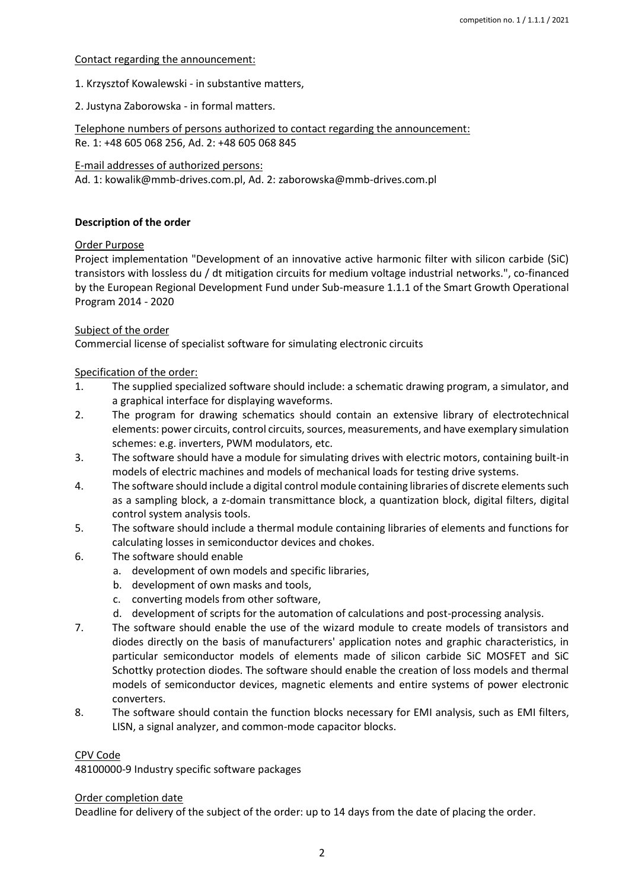#### Contact regarding the announcement:

1. Krzysztof Kowalewski - in substantive matters,

2. Justyna Zaborowska - in formal matters.

Telephone numbers of persons authorized to contact regarding the announcement: Re. 1: +48 605 068 256, Ad. 2: +48 605 068 845

E-mail addresses of authorized persons:

Ad. 1: kowalik@mmb-drives.com.pl, Ad. 2: zaborowska@mmb-drives.com.pl

#### **Description of the order**

#### Order Purpose

Project implementation "Development of an innovative active harmonic filter with silicon carbide (SiC) transistors with lossless du / dt mitigation circuits for medium voltage industrial networks.", co-financed by the European Regional Development Fund under Sub-measure 1.1.1 of the Smart Growth Operational Program 2014 - 2020

## Subject of the order

Commercial license of specialist software for simulating electronic circuits

## Specification of the order:

- 1. The supplied specialized software should include: a schematic drawing program, a simulator, and a graphical interface for displaying waveforms.
- 2. The program for drawing schematics should contain an extensive library of electrotechnical elements: power circuits, control circuits, sources, measurements, and have exemplary simulation schemes: e.g. inverters, PWM modulators, etc.
- 3. The software should have a module for simulating drives with electric motors, containing built-in models of electric machines and models of mechanical loads for testing drive systems.
- 4. The software should include a digital control module containing libraries of discrete elements such as a sampling block, a z-domain transmittance block, a quantization block, digital filters, digital control system analysis tools.
- 5. The software should include a thermal module containing libraries of elements and functions for calculating losses in semiconductor devices and chokes.
- 6. The software should enable
	- a. development of own models and specific libraries,
	- b. development of own masks and tools,
	- c. converting models from other software,
	- d. development of scripts for the automation of calculations and post-processing analysis.
- 7. The software should enable the use of the wizard module to create models of transistors and diodes directly on the basis of manufacturers' application notes and graphic characteristics, in particular semiconductor models of elements made of silicon carbide SiC MOSFET and SiC Schottky protection diodes. The software should enable the creation of loss models and thermal models of semiconductor devices, magnetic elements and entire systems of power electronic converters.
- 8. The software should contain the function blocks necessary for EMI analysis, such as EMI filters, LISN, a signal analyzer, and common-mode capacitor blocks.

#### CPV Code

48100000-9 Industry specific software packages

#### Order completion date

Deadline for delivery of the subject of the order: up to 14 days from the date of placing the order.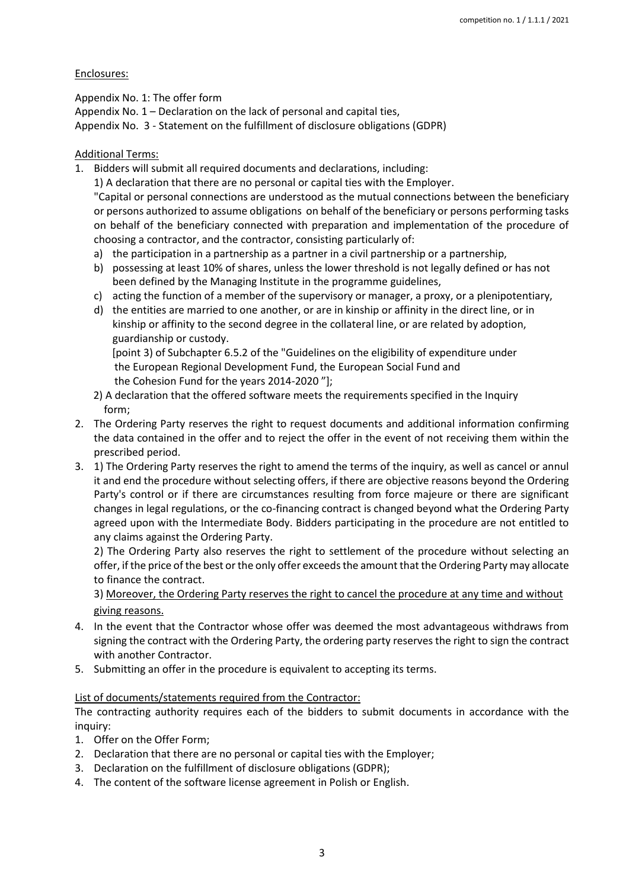#### Enclosures:

Appendix No. 1: The offer form Appendix No. 1 – Declaration on the lack of personal and capital ties, Appendix No. 3 - Statement on the fulfillment of disclosure obligations (GDPR)

## Additional Terms:

1. Bidders will submit all required documents and declarations, including:

1) A declaration that there are no personal or capital ties with the Employer.

"Capital or personal connections are understood as the mutual connections between the beneficiary or persons authorized to assume obligations on behalf of the beneficiary or persons performing tasks on behalf of the beneficiary connected with preparation and implementation of the procedure of choosing a contractor, and the contractor, consisting particularly of:

- a) the participation in a partnership as a partner in a civil partnership or a partnership,
- b) possessing at least 10% of shares, unless the lower threshold is not legally defined or has not been defined by the Managing Institute in the programme guidelines,
- c) acting the function of a member of the supervisory or manager, a proxy, or a plenipotentiary,
- d) the entities are married to one another, or are in kinship or affinity in the direct line, or in kinship or affinity to the second degree in the collateral line, or are related by adoption, guardianship or custody.

[point 3) of Subchapter 6.5.2 of the "Guidelines on the eligibility of expenditure under the European Regional Development Fund, the European Social Fund and the Cohesion Fund for the years 2014-2020 "];

- 2) A declaration that the offered software meets the requirements specified in the Inquiry form;
- 2. The Ordering Party reserves the right to request documents and additional information confirming the data contained in the offer and to reject the offer in the event of not receiving them within the prescribed period.
- 3. 1) The Ordering Party reserves the right to amend the terms of the inquiry, as well as cancel or annul it and end the procedure without selecting offers, if there are objective reasons beyond the Ordering Party's control or if there are circumstances resulting from force majeure or there are significant changes in legal regulations, or the co-financing contract is changed beyond what the Ordering Party agreed upon with the Intermediate Body. Bidders participating in the procedure are not entitled to any claims against the Ordering Party.

2) The Ordering Party also reserves the right to settlement of the procedure without selecting an offer, if the price of the best or the only offer exceeds the amount that the Ordering Party may allocate to finance the contract.

# 3) Moreover, the Ordering Party reserves the right to cancel the procedure at any time and without giving reasons.

- 
- 4. In the event that the Contractor whose offer was deemed the most advantageous withdraws from signing the contract with the Ordering Party, the ordering party reserves the right to sign the contract with another Contractor.
- 5. Submitting an offer in the procedure is equivalent to accepting its terms.

#### List of documents/statements required from the Contractor:

The contracting authority requires each of the bidders to submit documents in accordance with the inquiry:

- 1. Offer on the Offer Form;
- 2. Declaration that there are no personal or capital ties with the Employer;
- 3. Declaration on the fulfillment of disclosure obligations (GDPR);
- 4. The content of the software license agreement in Polish or English.